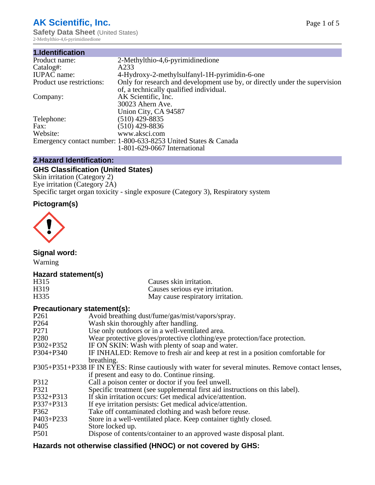# **AK Scientific, Inc.**

**Safety Data Sheet (United States)** 2-Methylthio-4,6-pyrimidinedione

| 1.Identification          |                                                                             |
|---------------------------|-----------------------------------------------------------------------------|
| Product name:             | 2-Methylthio-4,6-pyrimidinedione                                            |
| Catalog#:                 | A233                                                                        |
| <b>IUPAC</b> name:        | 4-Hydroxy-2-methylsulfanyl-1H-pyrimidin-6-one                               |
| Product use restrictions: | Only for research and development use by, or directly under the supervision |
|                           | of, a technically qualified individual.                                     |
| Company:                  | AK Scientific, Inc.                                                         |
|                           | 30023 Ahern Ave.                                                            |
|                           | Union City, CA 94587                                                        |
| Telephone:                | $(510)$ 429-8835                                                            |
| Fax:                      | $(510)$ 429-8836                                                            |
| Website:                  | www.aksci.com                                                               |
|                           | Emergency contact number: 1-800-633-8253 United States & Canada             |
|                           | 1-801-629-0667 International                                                |
|                           |                                                                             |

## **2.Hazard Identification:**

## **GHS Classification (United States)**

Skin irritation (Category 2) Eye irritation (Category 2A) Specific target organ toxicity - single exposure (Category 3), Respiratory system

## **Pictogram(s)**



**Signal word:**

Warning

### **Hazard statement(s)**

| H315              | Causes skin irritation.           |
|-------------------|-----------------------------------|
| H <sub>3</sub> 19 | Causes serious eye irritation.    |
| H335              | May cause respiratory irritation. |

### **Precautionary statement(s):**

| P <sub>261</sub> | Avoid breathing dust/fume/gas/mist/vapors/spray.                                                   |
|------------------|----------------------------------------------------------------------------------------------------|
| P <sub>264</sub> | Wash skin thoroughly after handling.                                                               |
| P <sub>271</sub> | Use only outdoors or in a well-ventilated area.                                                    |
| P <sub>280</sub> | Wear protective gloves/protective clothing/eye protection/face protection.                         |
| P302+P352        | IF ON SKIN: Wash with plenty of soap and water.                                                    |
| $P304 + P340$    | IF INHALED: Remove to fresh air and keep at rest in a position comfortable for                     |
|                  | breathing.                                                                                         |
|                  | P305+P351+P338 IF IN EYES: Rinse cautiously with water for several minutes. Remove contact lenses, |
|                  | if present and easy to do. Continue rinsing.                                                       |
| P312             | Call a poison center or doctor if you feel unwell.                                                 |
| P321             | Specific treatment (see supplemental first aid instructions on this label).                        |
| P332+P313        | If skin irritation occurs: Get medical advice/attention.                                           |
| P337+P313        | If eye irritation persists: Get medical advice/attention.                                          |
| P362             | Take off contaminated clothing and wash before reuse.                                              |
| $P403 + P233$    | Store in a well-ventilated place. Keep container tightly closed.                                   |
| P <sub>405</sub> | Store locked up.                                                                                   |
| P <sub>501</sub> | Dispose of contents/container to an approved waste disposal plant.                                 |
|                  |                                                                                                    |

## **Hazards not otherwise classified (HNOC) or not covered by GHS:**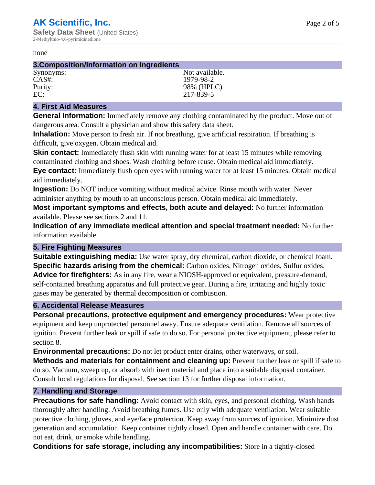#### none

#### **3.Composition/Information on Ingredients**

| Synonyms: | Not available. |
|-----------|----------------|
| $CAS#$ :  | 1979-98-2      |
| Purity:   | 98% (HPLC)     |
| EC:       | 217-839-5      |

#### **4. First Aid Measures**

**General Information:** Immediately remove any clothing contaminated by the product. Move out of dangerous area. Consult a physician and show this safety data sheet.

**Inhalation:** Move person to fresh air. If not breathing, give artificial respiration. If breathing is difficult, give oxygen. Obtain medical aid.

**Skin contact:** Immediately flush skin with running water for at least 15 minutes while removing contaminated clothing and shoes. Wash clothing before reuse. Obtain medical aid immediately. **Eye contact:** Immediately flush open eyes with running water for at least 15 minutes. Obtain medical aid immediately.

**Ingestion:** Do NOT induce vomiting without medical advice. Rinse mouth with water. Never administer anything by mouth to an unconscious person. Obtain medical aid immediately.

**Most important symptoms and effects, both acute and delayed:** No further information available. Please see sections 2 and 11.

**Indication of any immediate medical attention and special treatment needed:** No further information available.

### **5. Fire Fighting Measures**

**Suitable extinguishing media:** Use water spray, dry chemical, carbon dioxide, or chemical foam. **Specific hazards arising from the chemical:** Carbon oxides, Nitrogen oxides, Sulfur oxides. **Advice for firefighters:** As in any fire, wear a NIOSH-approved or equivalent, pressure-demand, self-contained breathing apparatus and full protective gear. During a fire, irritating and highly toxic gases may be generated by thermal decomposition or combustion.

### **6. Accidental Release Measures**

**Personal precautions, protective equipment and emergency procedures:** Wear protective equipment and keep unprotected personnel away. Ensure adequate ventilation. Remove all sources of ignition. Prevent further leak or spill if safe to do so. For personal protective equipment, please refer to section 8.

**Environmental precautions:** Do not let product enter drains, other waterways, or soil.

**Methods and materials for containment and cleaning up:** Prevent further leak or spill if safe to do so. Vacuum, sweep up, or absorb with inert material and place into a suitable disposal container. Consult local regulations for disposal. See section 13 for further disposal information.

#### **7. Handling and Storage**

**Precautions for safe handling:** Avoid contact with skin, eyes, and personal clothing. Wash hands thoroughly after handling. Avoid breathing fumes. Use only with adequate ventilation. Wear suitable protective clothing, gloves, and eye/face protection. Keep away from sources of ignition. Minimize dust generation and accumulation. Keep container tightly closed. Open and handle container with care. Do not eat, drink, or smoke while handling.

**Conditions for safe storage, including any incompatibilities:** Store in a tightly-closed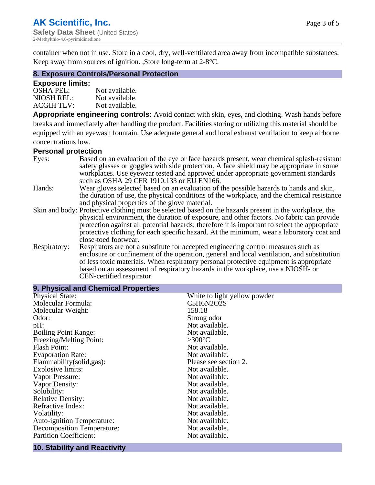container when not in use. Store in a cool, dry, well-ventilated area away from incompatible substances. Keep away from sources of ignition. ,Store long-term at 2-8°C.

#### **8. Exposure Controls/Personal Protection**

#### **Exposure limits:**

| <b>OSHA PEL:</b>  | Not available. |
|-------------------|----------------|
| NIOSH REL:        | Not available. |
| <b>ACGIH TLV:</b> | Not available. |

**Appropriate engineering controls:** Avoid contact with skin, eyes, and clothing. Wash hands before breaks and immediately after handling the product. Facilities storing or utilizing this material should be equipped with an eyewash fountain. Use adequate general and local exhaust ventilation to keep airborne concentrations low.

#### **Personal protection**

| Eyes:        | Based on an evaluation of the eye or face hazards present, wear chemical splash-resistant<br>safety glasses or goggles with side protection. A face shield may be appropriate in some<br>workplaces. Use eyewear tested and approved under appropriate government standards |
|--------------|-----------------------------------------------------------------------------------------------------------------------------------------------------------------------------------------------------------------------------------------------------------------------------|
|              | such as OSHA 29 CFR 1910.133 or EU EN166.                                                                                                                                                                                                                                   |
| Hands:       | Wear gloves selected based on an evaluation of the possible hazards to hands and skin,                                                                                                                                                                                      |
|              | the duration of use, the physical conditions of the workplace, and the chemical resistance                                                                                                                                                                                  |
|              | and physical properties of the glove material.                                                                                                                                                                                                                              |
|              | Skin and body: Protective clothing must be selected based on the hazards present in the workplace, the                                                                                                                                                                      |
|              | physical environment, the duration of exposure, and other factors. No fabric can provide                                                                                                                                                                                    |
|              | protection against all potential hazards; therefore it is important to select the appropriate                                                                                                                                                                               |
|              | protective clothing for each specific hazard. At the minimum, wear a laboratory coat and                                                                                                                                                                                    |
|              | close-toed footwear.                                                                                                                                                                                                                                                        |
| Respiratory: | Respirators are not a substitute for accepted engineering control measures such as<br>enclosure or confinement of the operation, general and local ventilation, and substitution<br>of less toxic materials. When respiratory personal protective equipment is appropriate  |
|              | based on an assessment of respiratory hazards in the workplace, use a NIOSH- or                                                                                                                                                                                             |
|              | CEN-certified respirator.                                                                                                                                                                                                                                                   |

| 9. Physical and Chemical Properties |                              |
|-------------------------------------|------------------------------|
| <b>Physical State:</b>              | White to light yellow powder |
| Molecular Formula:                  | C5H6N2O2S                    |
| Molecular Weight:                   | 158.18                       |
| Odor:                               | Strong odor                  |
| pH:                                 | Not available.               |
| <b>Boiling Point Range:</b>         | Not available.               |
| Freezing/Melting Point:             | $>300^{\circ}$ C             |
| <b>Flash Point:</b>                 | Not available.               |
| <b>Evaporation Rate:</b>            | Not available.               |
| Flammability(solid,gas):            | Please see section 2.        |
| <b>Explosive limits:</b>            | Not available.               |
| Vapor Pressure:                     | Not available.               |
| Vapor Density:                      | Not available.               |
| Solubility:                         | Not available.               |
| <b>Relative Density:</b>            | Not available.               |
| Refractive Index:                   | Not available.               |
| Volatility:                         | Not available.               |
| <b>Auto-ignition Temperature:</b>   | Not available.               |
| <b>Decomposition Temperature:</b>   | Not available.               |
| <b>Partition Coefficient:</b>       | Not available.               |

#### **10. Stability and Reactivity**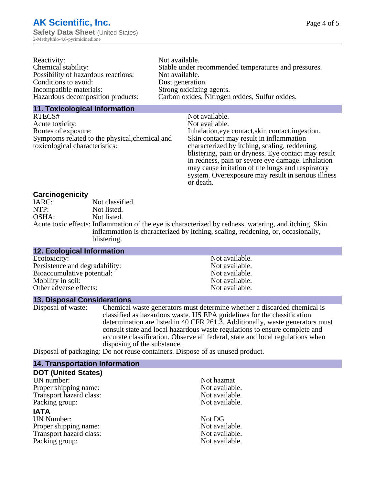| Reactivity:                         | Not available.                                       |
|-------------------------------------|------------------------------------------------------|
| Chemical stability:                 | Stable under recommended temperatures and pressures. |
| Possibility of hazardous reactions: | Not available.                                       |
| Conditions to avoid:                | Dust generation.                                     |
| Incompatible materials:             | Strong oxidizing agents.                             |
| Hazardous decomposition products:   | Carbon oxides, Nitrogen oxides, Sulfur oxides.       |
|                                     |                                                      |

#### **11. Toxicological Information**

| RTECS#                                         | Not available.                                      |
|------------------------------------------------|-----------------------------------------------------|
| Acute toxicity:                                | Not available.                                      |
| Routes of exposure:                            | Inhalation, eye contact, skin contact, ingestion.   |
| Symptoms related to the physical, chemical and | Skin contact may result in inflammation             |
| toxicological characteristics:                 | characterized by itching, scaling, reddening,       |
|                                                | blistering, pain or dryness. Eye contact may result |
|                                                | in redness, pain or severe eye damage. Inhalation   |
|                                                | may cause irritation of the lungs and respiratory   |
|                                                | system. Overexposure may result in serious illness  |

or death.

#### **Carcinogenicity**

| IARC: | Not classified.                                                                                       |
|-------|-------------------------------------------------------------------------------------------------------|
| NTP:  | Not listed.                                                                                           |
| OSHA: | Not listed.                                                                                           |
|       | Acute toxic effects: Inflammation of the eye is characterized by redness, watering, and itching. Skin |
|       | inflammation is characterized by itching, scaling, reddening, or, occasionally,                       |
|       | blistering.                                                                                           |

| <b>12. Ecological Information</b> |                |  |
|-----------------------------------|----------------|--|
| Ecotoxicity:                      | Not available. |  |
| Persistence and degradability:    | Not available. |  |
| Bioaccumulative potential:        | Not available. |  |
| Mobility in soil:                 | Not available. |  |
| Other adverse effects:            | Not available. |  |

#### **13. Disposal Considerations**

Disposal of waste: Chemical waste generators must determine whether a discarded chemical is classified as hazardous waste. US EPA guidelines for the classification determination are listed in 40 CFR 261.3. Additionally, waste generators must consult state and local hazardous waste regulations to ensure complete and accurate classification. Observe all federal, state and local regulations when disposing of the substance.

Disposal of packaging: Do not reuse containers. Dispose of as unused product.

| <b>14. Transportation Information</b> |                |
|---------------------------------------|----------------|
| <b>DOT (United States)</b>            |                |
| UN number:                            | Not hazmat     |
| Proper shipping name:                 | Not available. |
| Transport hazard class:               | Not available. |
| Packing group:                        | Not available. |
| <b>IATA</b>                           |                |
| <b>UN Number:</b>                     | Not DG         |
| Proper shipping name:                 | Not available. |
| Transport hazard class:               | Not available. |
| Packing group:                        | Not available. |